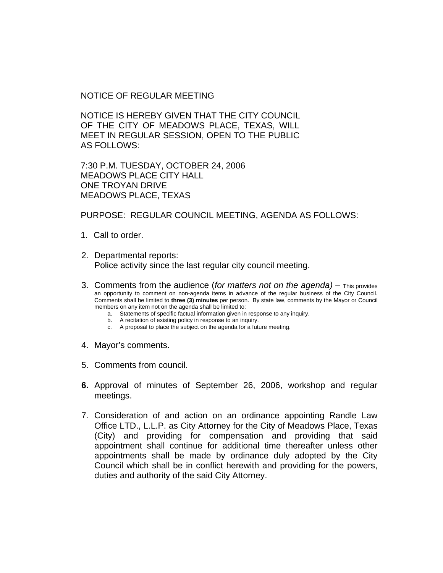NOTICE OF REGULAR MEETING

NOTICE IS HEREBY GIVEN THAT THE CITY COUNCIL OF THE CITY OF MEADOWS PLACE, TEXAS, WILL MEET IN REGULAR SESSION, OPEN TO THE PUBLIC AS FOLLOWS:

7:30 P.M. TUESDAY, OCTOBER 24, 2006 MEADOWS PLACE CITY HALL ONE TROYAN DRIVE MEADOWS PLACE, TEXAS

PURPOSE: REGULAR COUNCIL MEETING, AGENDA AS FOLLOWS:

- 1. Call to order.
- 2. Departmental reports: Police activity since the last regular city council meeting.
- 3. Comments from the audience (*for matters not on the agenda)* This provides an opportunity to comment on non-agenda items in advance of the regular business of the City Council. Comments shall be limited to **three (3) minutes** per person. By state law, comments by the Mayor or Council members on any item not on the agenda shall be limited to:
	- a. Statements of specific factual information given in response to any inquiry.
	- b. A recitation of existing policy in response to an inquiry.
	- c. A proposal to place the subject on the agenda for a future meeting.
- 4. Mayor's comments.
- 5. Comments from council.
- **6.** Approval of minutes of September 26, 2006, workshop and regular meetings.
- 7. Consideration of and action on an ordinance appointing Randle Law Office LTD., L.L.P. as City Attorney for the City of Meadows Place, Texas (City) and providing for compensation and providing that said appointment shall continue for additional time thereafter unless other appointments shall be made by ordinance duly adopted by the City Council which shall be in conflict herewith and providing for the powers, duties and authority of the said City Attorney.